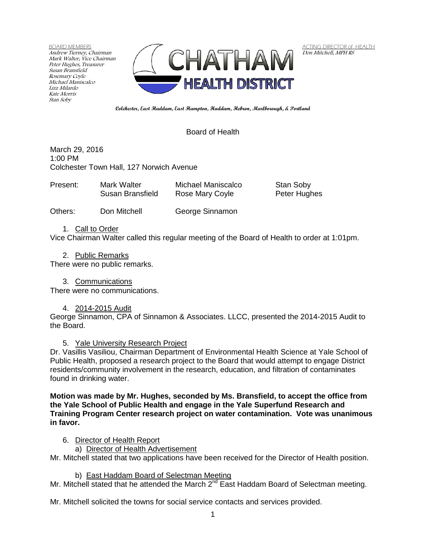BOARD MEMBERS Andrew Tierney, Chairman Mark Walter, Vice Chairman Peter Hughes, Treasurer Susan Bransfield Rosemary Coyle Michael Maniscalco Lizz Milardo Kate Morris Stan Soby



ACTING DIRECTOR of HEALTH Don Mitchell, MPH RS

**Colchester, East Haddam, East Hampton, Haddam, Hebron, Marlborough, & Portland**

# Board of Health

March 29, 2016 1:00 PM Colchester Town Hall, 127 Norwich Avenue

| Present: | Mark Walter      | Michael Maniscalco | Stan Soby    |
|----------|------------------|--------------------|--------------|
|          | Susan Bransfield | Rose Mary Coyle    | Peter Hughes |
|          |                  |                    |              |

Others: Don Mitchell George Sinnamon

1. Call to Order

Vice Chairman Walter called this regular meeting of the Board of Health to order at 1:01pm.

2. Public Remarks

There were no public remarks.

3. Communications

There were no communications.

4. 2014-2015 Audit

George Sinnamon, CPA of Sinnamon & Associates. LLCC, presented the 2014-2015 Audit to the Board.

5. Yale University Research Project

Dr. Vasillis Vasiliou, Chairman Department of Environmental Health Science at Yale School of Public Health, proposed a research project to the Board that would attempt to engage District residents/community involvement in the research, education, and filtration of contaminates found in drinking water.

**Motion was made by Mr. Hughes, seconded by Ms. Bransfield, to accept the office from the Yale School of Public Health and engage in the Yale Superfund Research and Training Program Center research project on water contamination. Vote was unanimous in favor.**

6. Director of Health Report

a) Director of Health Advertisement

Mr. Mitchell stated that two applications have been received for the Director of Health position.

b) East Haddam Board of Selectman Meeting

Mr. Mitchell stated that he attended the March  $2^{nd}$  East Haddam Board of Selectman meeting.

Mr. Mitchell solicited the towns for social service contacts and services provided.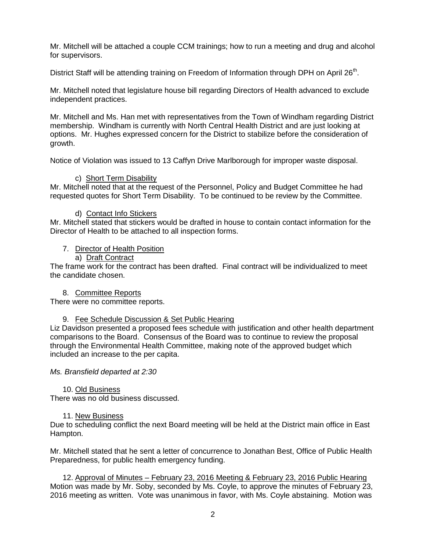Mr. Mitchell will be attached a couple CCM trainings; how to run a meeting and drug and alcohol for supervisors.

District Staff will be attending training on Freedom of Information through DPH on April 26<sup>th</sup>.

Mr. Mitchell noted that legislature house bill regarding Directors of Health advanced to exclude independent practices.

Mr. Mitchell and Ms. Han met with representatives from the Town of Windham regarding District membership. Windham is currently with North Central Health District and are just looking at options. Mr. Hughes expressed concern for the District to stabilize before the consideration of growth.

Notice of Violation was issued to 13 Caffyn Drive Marlborough for improper waste disposal.

## c) Short Term Disability

Mr. Mitchell noted that at the request of the Personnel, Policy and Budget Committee he had requested quotes for Short Term Disability. To be continued to be review by the Committee.

## d) Contact Info Stickers

Mr. Mitchell stated that stickers would be drafted in house to contain contact information for the Director of Health to be attached to all inspection forms.

## 7. Director of Health Position

## a) Draft Contract

The frame work for the contract has been drafted. Final contract will be individualized to meet the candidate chosen.

#### 8. Committee Reports

There were no committee reports.

#### 9. Fee Schedule Discussion & Set Public Hearing

Liz Davidson presented a proposed fees schedule with justification and other health department comparisons to the Board. Consensus of the Board was to continue to review the proposal through the Environmental Health Committee, making note of the approved budget which included an increase to the per capita.

*Ms. Bransfield departed at 2:30*

#### 10. Old Business

There was no old business discussed.

#### 11. New Business

Due to scheduling conflict the next Board meeting will be held at the District main office in East Hampton.

Mr. Mitchell stated that he sent a letter of concurrence to Jonathan Best, Office of Public Health Preparedness, for public health emergency funding.

12. Approval of Minutes – February 23, 2016 Meeting & February 23, 2016 Public Hearing Motion was made by Mr. Soby, seconded by Ms. Coyle, to approve the minutes of February 23, 2016 meeting as written. Vote was unanimous in favor, with Ms. Coyle abstaining. Motion was